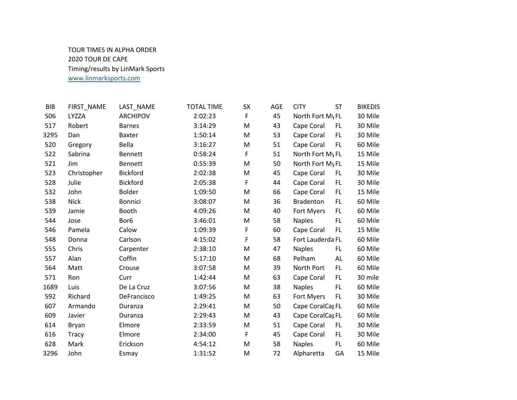## TOUR TIMES IN ALPHA ORDER 2020 TOUR DE CAPE Timing/results by LinMark Sports www.linmarksports.com

| <b>BIB</b> | FIRST_NAME   | LAST_NAME        | <b>TOTAL TIME</b> | SX | AGE | <b>CITY</b>      | ST  | <b>BIKEDIS</b> |
|------------|--------------|------------------|-------------------|----|-----|------------------|-----|----------------|
| 506        | LYZZA        | <b>ARCHIPOV</b>  | 2:02:23           | F  | 45  | North Fort My FL |     | 30 Mile        |
| 517        | Robert       | <b>Barnes</b>    | 3:14:29           | M  | 43  | Cape Coral       | FL. | 30 Mile        |
| 3295       | Dan          | <b>Baxter</b>    | 1:50:14           | M  | 53  | Cape Coral       | FL. | 30 Mile        |
| 520        | Gregory      | Bella            | 3:16:27           | M  | 51  | Cape Coral       | FL. | 60 Mile        |
| 522        | Sabrina      | <b>Bennett</b>   | 0:58:24           | F  | 51  | North Fort My FL |     | 15 Mile        |
| 521        | Jim          | <b>Bennett</b>   | 0:55:39           | M  | 50  | North Fort My FL |     | 15 Mile        |
| 523        | Christopher  | <b>Bickford</b>  | 2:02:38           | M  | 45  | Cape Coral       | FL. | 30 Mile        |
| 528        | Julie        | <b>Bickford</b>  | 2:05:38           | F  | 44  | Cape Coral       | FL. | 30 Mile        |
| 532        | John         | <b>Bolder</b>    | 1:09:50           | M  | 66  | Cape Coral       | FL. | 15 Mile        |
| 538        | <b>Nick</b>  | <b>Bonnici</b>   | 3:08:07           | M  | 36  | <b>Bradenton</b> | FL. | 60 Mile        |
| 539        | Jamie        | Booth            | 4:09:26           | M  | 40  | Fort Myers       | FL. | 60 Mile        |
| 544        | Jose         | Bor <sub>6</sub> | 3:46:01           | M  | 58  | <b>Naples</b>    | FL. | 60 Mile        |
| 546        | Pamela       | Calow            | 1:09:39           | F  | 60  | Cape Coral       | FL. | 15 Mile        |
| 548        | Donna        | Carlson          | 4:15:02           | F  | 58  | Fort Lauderda FL |     | 60 Mile        |
| 555        | Chris        | Carpenter        | 2:38:10           | M  | 47  | <b>Naples</b>    | FL. | 60 Mile        |
| 557        | Alan         | Coffin           | 5:17:10           | M  | 68  | Pelham           | AL  | 60 Mile        |
| 564        | Matt         | Crouse           | 3:07:58           | M  | 39  | North Port       | FL. | 60 Mile        |
| 571        | Ron          | Curr             | 1:42:44           | M  | 63  | Cape Coral       | FL. | 30 mile        |
| 1689       | Luis         | De La Cruz       | 3:07:56           | M  | 38  | <b>Naples</b>    | FL. | 60 Mile        |
| 592        | Richard      | DeFrancisco      | 1:49:25           | M  | 63  | Fort Myers       | FL. | 30 Mile        |
| 607        | Armando      | Duranza          | 2:29:41           | M  | 50  | Cape CoralCar FL |     | 60 Mile        |
| 609        | Javier       | Duranza          | 2:29:43           | M  | 43  | Cape CoralCar FL |     | 60 Mile        |
| 614        | Bryan        | Elmore           | 2:33:59           | M  | 51  | Cape Coral       | FL  | 30 Mile        |
| 616        | <b>Tracy</b> | Elmore           | 2:34:00           | F  | 45  | Cape Coral       | FL. | 30 Mile        |
| 628        | Mark         | Erickson         | 4:54:12           | M  | 58  | <b>Naples</b>    | FL. | 60 Mile        |
| 3296       | John         | Esmay            | 1:31:52           | M  | 72  | Alpharetta       | GA  | 15 Mile        |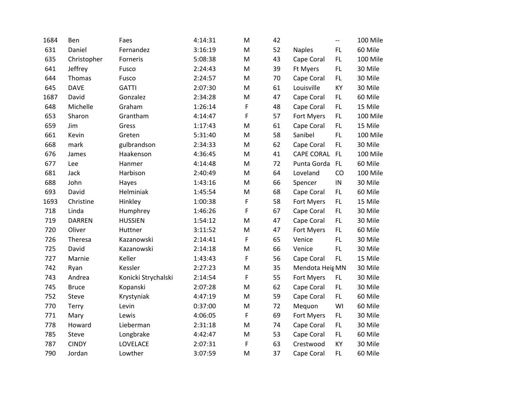| 1684 | Ben           | Faes                | 4:14:31 | M           | 42 |                 | $-$        | 100 Mile |
|------|---------------|---------------------|---------|-------------|----|-----------------|------------|----------|
| 631  | Daniel        | Fernandez           | 3:16:19 | M           | 52 | <b>Naples</b>   | FL.        | 60 Mile  |
| 635  | Christopher   | Forneris            | 5:08:38 | ${\sf M}$   | 43 | Cape Coral      | FL         | 100 Mile |
| 641  | Jeffrey       | Fusco               | 2:24:43 | M           | 39 | Ft Myers        | FL.        | 30 Mile  |
| 644  | Thomas        | Fusco               | 2:24:57 | M           | 70 | Cape Coral      | FL.        | 30 Mile  |
| 645  | <b>DAVE</b>   | <b>GATTI</b>        | 2:07:30 | M           | 61 | Louisville      | KY         | 30 Mile  |
| 1687 | David         | Gonzalez            | 2:34:28 | M           | 47 | Cape Coral      | FL.        | 60 Mile  |
| 648  | Michelle      | Graham              | 1:26:14 | F           | 48 | Cape Coral      | FL.        | 15 Mile  |
| 653  | Sharon        | Grantham            | 4:14:47 | F           | 57 | Fort Myers      | FL.        | 100 Mile |
| 659  | Jim           | Gress               | 1:17:43 | M           | 61 | Cape Coral      | FL.        | 15 Mile  |
| 661  | Kevin         | Greten              | 5:31:40 | M           | 58 | Sanibel         | FL.        | 100 Mile |
| 668  | mark          | gulbrandson         | 2:34:33 | M           | 62 | Cape Coral      | FL         | 30 Mile  |
| 676  | James         | Haakenson           | 4:36:45 | M           | 41 | CAPE CORAL FL   |            | 100 Mile |
| 677  | Lee           | Hanmer              | 4:14:48 | ${\sf M}$   | 72 | Punta Gorda     | FL         | 60 Mile  |
| 681  | Jack          | Harbison            | 2:40:49 | M           | 64 | Loveland        | CO         | 100 Mile |
| 688  | John          | Hayes               | 1:43:16 | M           | 66 | Spencer         | ${\sf IN}$ | 30 Mile  |
| 693  | David         | Helminiak           | 1:45:54 | M           | 68 | Cape Coral      | FL.        | 60 Mile  |
| 1693 | Christine     | Hinkley             | 1:00:38 | F           | 58 | Fort Myers      | FL.        | 15 Mile  |
| 718  | Linda         | Humphrey            | 1:46:26 | F           | 67 | Cape Coral      | FL.        | 30 Mile  |
| 719  | <b>DARREN</b> | <b>HUSSIEN</b>      | 1:54:12 | M           | 47 | Cape Coral      | FL.        | 30 Mile  |
| 720  | Oliver        | Huttner             | 3:11:52 | M           | 47 | Fort Myers      | FL.        | 60 Mile  |
| 726  | Theresa       | Kazanowski          | 2:14:41 | $\mathsf F$ | 65 | Venice          | FL.        | 30 Mile  |
| 725  | David         | Kazanowski          | 2:14:18 | M           | 66 | Venice          | FL.        | 30 Mile  |
| 727  | Marnie        | Keller              | 1:43:43 | F           | 56 | Cape Coral      | FL.        | 15 Mile  |
| 742  | Ryan          | Kessler             | 2:27:23 | M           | 35 | Mendota Heig MN |            | 30 Mile  |
| 743  | Andrea        | Konicki Strychalski | 2:14:54 | F           | 55 | Fort Myers      | FL.        | 30 Mile  |
| 745  | <b>Bruce</b>  | Kopanski            | 2:07:28 | M           | 62 | Cape Coral      | FL.        | 30 Mile  |
| 752  | Steve         | Krystyniak          | 4:47:19 | M           | 59 | Cape Coral      | FL.        | 60 Mile  |
| 770  | <b>Terry</b>  | Levin               | 0:37:00 | M           | 72 | Mequon          | WI         | 60 Mile  |
| 771  | Mary          | Lewis               | 4:06:05 | $\mathsf F$ | 69 | Fort Myers      | FL.        | 30 Mile  |
| 778  | Howard        | Lieberman           | 2:31:18 | M           | 74 | Cape Coral      | FL.        | 30 Mile  |
| 785  | Steve         | Longbrake           | 4:42:47 | M           | 53 | Cape Coral      | FL.        | 60 Mile  |
| 787  | <b>CINDY</b>  | LOVELACE            | 2:07:31 | F           | 63 | Crestwood       | KY         | 30 Mile  |
| 790  | Jordan        | Lowther             | 3:07:59 | M           | 37 | Cape Coral      | FL.        | 60 Mile  |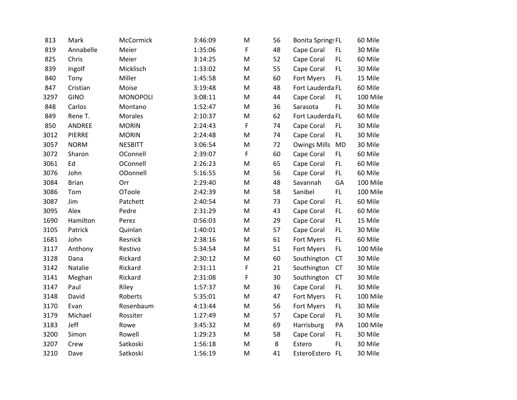| 813  | Mark          | McCormick      | 3:46:09 | M | 56 | <b>Bonita Springs FL</b> |           | 60 Mile  |
|------|---------------|----------------|---------|---|----|--------------------------|-----------|----------|
| 819  | Annabelle     | Meier          | 1:35:06 | F | 48 | Cape Coral               | FL        | 30 Mile  |
| 825  | Chris         | Meier          | 3:14:25 | M | 52 | Cape Coral               | FL.       | 60 Mile  |
| 839  | Ingolf        | Micklisch      | 1:33:02 | M | 55 | Cape Coral               | FL.       | 30 Mile  |
| 840  | Tony          | Miller         | 1:45:58 | M | 60 | Fort Myers               | FL.       | 15 Mile  |
| 847  | Cristian      | Moise          | 3:19:48 | M | 48 | Fort Lauderda FL         |           | 60 Mile  |
| 3297 | <b>GINO</b>   | MONOPOLI       | 3:08:11 | M | 44 | Cape Coral               | FL.       | 100 Mile |
| 848  | Carlos        | Montano        | 1:52:47 | M | 36 | Sarasota                 | FL.       | 30 Mile  |
| 849  | Rene T.       | <b>Morales</b> | 2:10:37 | M | 62 | Fort Lauderda FL         |           | 60 Mile  |
| 850  | ANDREE        | <b>MORIN</b>   | 2:24:43 | F | 74 | Cape Coral               | FL.       | 30 Mile  |
| 3012 | <b>PIERRE</b> | <b>MORIN</b>   | 2:24:48 | M | 74 | Cape Coral               | FL.       | 30 Mile  |
| 3057 | <b>NORM</b>   | <b>NESBITT</b> | 3:06:54 | M | 72 | <b>Owings Mills</b>      | <b>MD</b> | 30 Mile  |
| 3072 | Sharon        | OConnell       | 2:39:07 | F | 60 | Cape Coral               | FL.       | 60 Mile  |
| 3061 | Ed            | OConnell       | 2:26:23 | M | 65 | Cape Coral               | FL.       | 60 Mile  |
| 3076 | John          | ODonnell       | 5:16:55 | M | 56 | Cape Coral               | FL.       | 60 Mile  |
| 3084 | <b>Brian</b>  | Orr            | 2:29:40 | M | 48 | Savannah                 | GA        | 100 Mile |
| 3086 | Tom           | OToole         | 2:42:39 | M | 58 | Sanibel                  | FL.       | 100 Mile |
| 3087 | Jim           | Patchett       | 2:40:54 | M | 73 | Cape Coral               | FL.       | 60 Mile  |
| 3095 | Alex          | Pedre          | 2:31:29 | M | 43 | Cape Coral               | FL.       | 60 Mile  |
| 1690 | Hamilton      | Perez          | 0:56:03 | M | 29 | Cape Coral               | FL        | 15 Mile  |
| 3105 | Patrick       | Quinlan        | 1:40:01 | M | 57 | Cape Coral               | FL.       | 30 Mile  |
| 1681 | John          | Resnick        | 2:38:16 | M | 61 | Fort Myers               | FL.       | 60 Mile  |
| 3117 | Anthony       | Restivo        | 5:34:54 | M | 51 | Fort Myers               | FL.       | 100 Mile |
| 3128 | Dana          | Rickard        | 2:30:12 | M | 60 | Southington              | <b>CT</b> | 30 Mile  |
| 3142 | Natalie       | Rickard        | 2:31:11 | F | 21 | Southington              | <b>CT</b> | 30 Mile  |
| 3141 | Meghan        | Rickard        | 2:31:08 | F | 30 | Southington              | <b>CT</b> | 30 Mile  |
| 3147 | Paul          | Riley          | 1:57:37 | M | 36 | Cape Coral               | FL.       | 30 Mile  |
| 3148 | David         | Roberts        | 5:35:01 | M | 47 | Fort Myers               | FL.       | 100 Mile |
| 3170 | Evan          | Rosenbaum      | 4:13:44 | M | 56 | Fort Myers               | FL.       | 30 Mile  |
| 3179 | Michael       | Rossiter       | 1:27:49 | M | 57 | Cape Coral               | FL.       | 30 Mile  |
| 3183 | Jeff          | Rowe           | 3:45:32 | M | 69 | Harrisburg               | PA        | 100 Mile |
| 3200 | Simon         | Rowell         | 1:29:23 | M | 58 | Cape Coral               | FL.       | 30 Mile  |
| 3207 | Crew          | Satkoski       | 1:56:18 | M | 8  | Estero                   | FL.       | 30 Mile  |
| 3210 | Dave          | Satkoski       | 1:56:19 | M | 41 | EsteroEstero FL          |           | 30 Mile  |